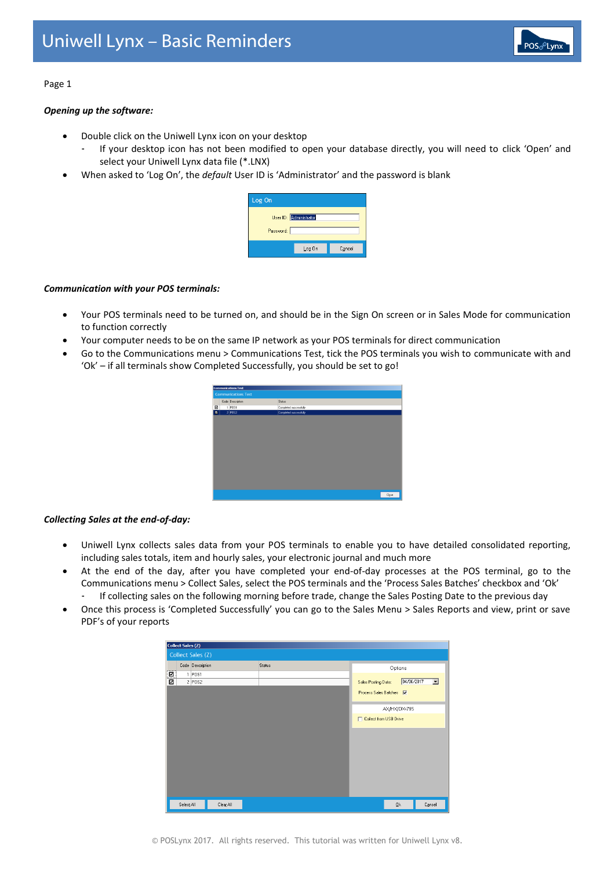

## Page 1

# *Opening up the software:*

- Double click on the Uniwell Lynx icon on your desktop
	- If your desktop icon has not been modified to open your database directly, you will need to click 'Open' and select your Uniwell Lynx data file (\*.LNX)
- When asked to 'Log On', the *default* User ID is 'Administrator' and the password is blank

| Log On                              |        |        |
|-------------------------------------|--------|--------|
| User ID: Administrator<br>Password: |        |        |
|                                     | Log On | Cancel |

## *Communication with your POS terminals:*

- Your POS terminals need to be turned on, and should be in the Sign On screen or in Sales Mode for communication to function correctly
- Your computer needs to be on the same IP network as your POS terminals for direct communication
- Go to the Communications menu > Communications Test, tick the POS terminals you wish to communicate with and 'Ok' – if all terminals show Completed Successfully, you should be set to go!



## *Collecting Sales at the end-of-day:*

- Uniwell Lynx collects sales data from your POS terminals to enable you to have detailed consolidated reporting, including sales totals, item and hourly sales, your electronic journal and much more
- At the end of the day, after you have completed your end-of-day processes at the POS terminal, go to the Communications menu > Collect Sales, select the POS terminals and the 'Process Sales Batches' checkbox and 'Ok' - If collecting sales on the following morning before trade, change the Sales Posting Date to the previous day
- Once this process is 'Completed Successfully' you can go to the Sales Menu > Sales Reports and view, print or save
- PDF's of your reports